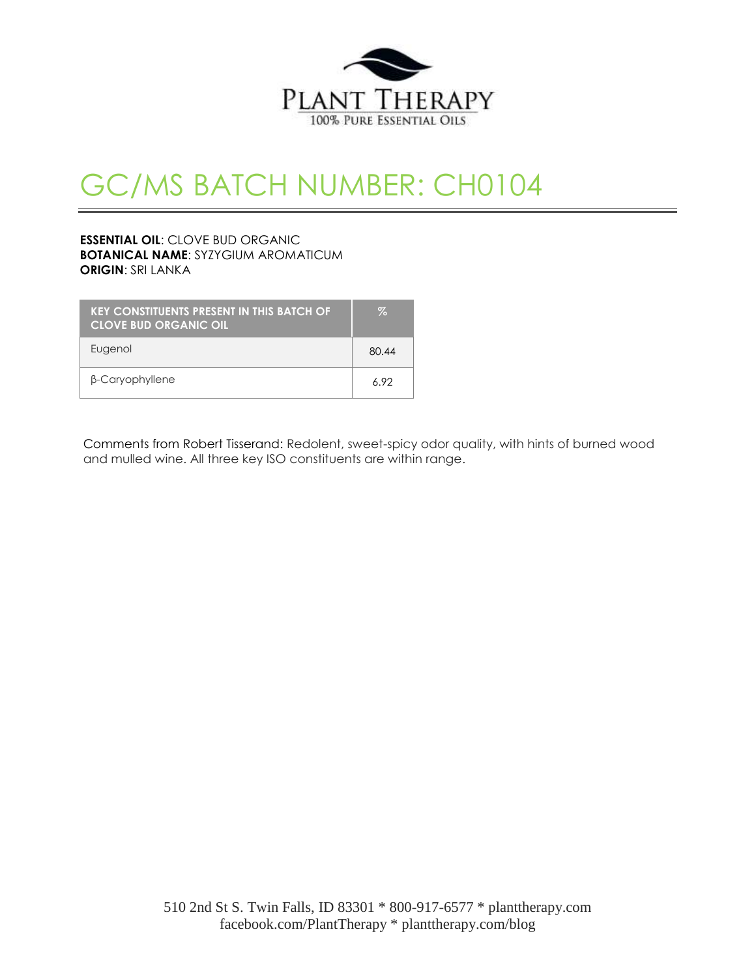

# GC/MS BATCH NUMBER: CH0104

## **ESSENTIAL OIL**: CLOVE BUD ORGANIC **BOTANICAL NAME**: SYZYGIUM AROMATICUM **ORIGIN**: SRI LANKA

| <b>KEY CONSTITUENTS PRESENT IN THIS BATCH OF</b><br><b>CLOVE BUD ORGANIC OIL</b> | Z.    |
|----------------------------------------------------------------------------------|-------|
| Eugenol                                                                          | 80.44 |
| β-Caryophyllene                                                                  | 692   |

Comments from Robert Tisserand: Redolent, sweet-spicy odor quality, with hints of burned wood and mulled wine. All three key ISO constituents are within range.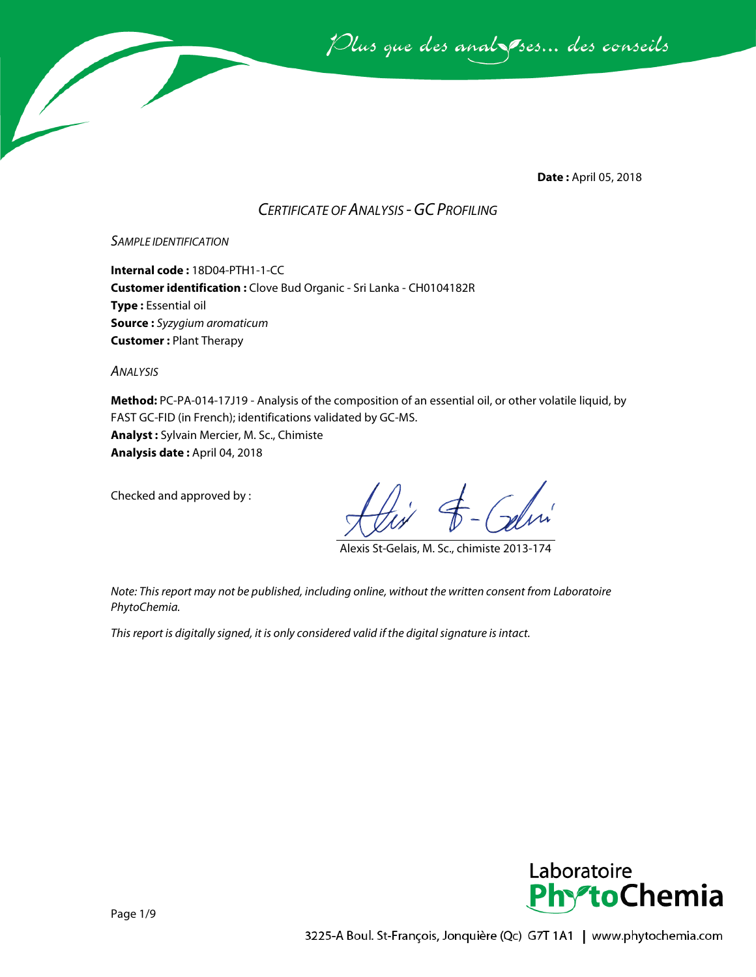Plus que des analsses... des conseils

**Date :** April 05, 2018

## *CERTIFICATE OF ANALYSIS -GC PROFILING*

#### *SAMPLE IDENTIFICATION*

**Internal code :** 18D04-PTH1-1-CC **Customer identification :** Clove Bud Organic - Sri Lanka - CH0104182R **Type :** Essential oil **Source :** *Syzygium aromaticum* **Customer :** Plant Therapy

*ANALYSIS*

**Method:** PC-PA-014-17J19 - Analysis of the composition of an essential oil, or other volatile liquid, by FAST GC-FID (in French); identifications validated by GC-MS. **Analyst :** Sylvain Mercier, M. Sc., Chimiste **Analysis date :** April 04, 2018

Checked and approved by :

Alexis St-Gelais, M. Sc., chimiste 2013-174

*Note: This report may not be published, including online, without the written consent from Laboratoire PhytoChemia.*

*This report is digitally signed, it is only considered valid if the digital signature is intact.*

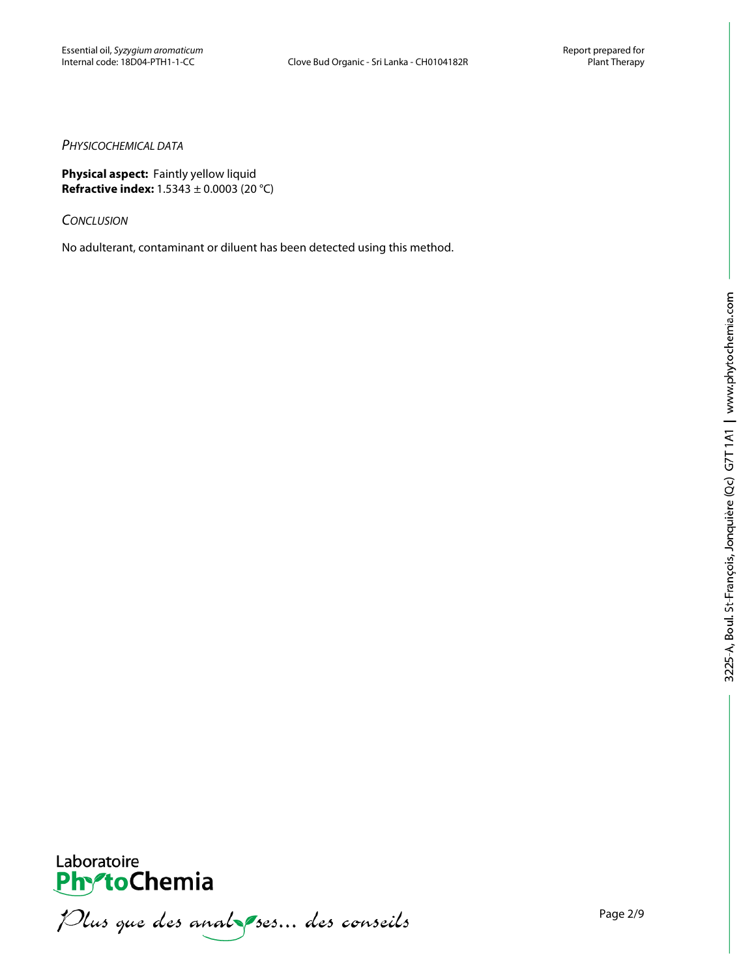#### *PHYSICOCHEMICAL DATA*

**Physical aspect:** Faintly yellow liquid **Refractive index:** 1.5343 ± 0.0003 (20 °C)

*CONCLUSION*

No adulterant, contaminant or diluent has been detected using this method.



Plus que des analsessus des conseils

Page 2/9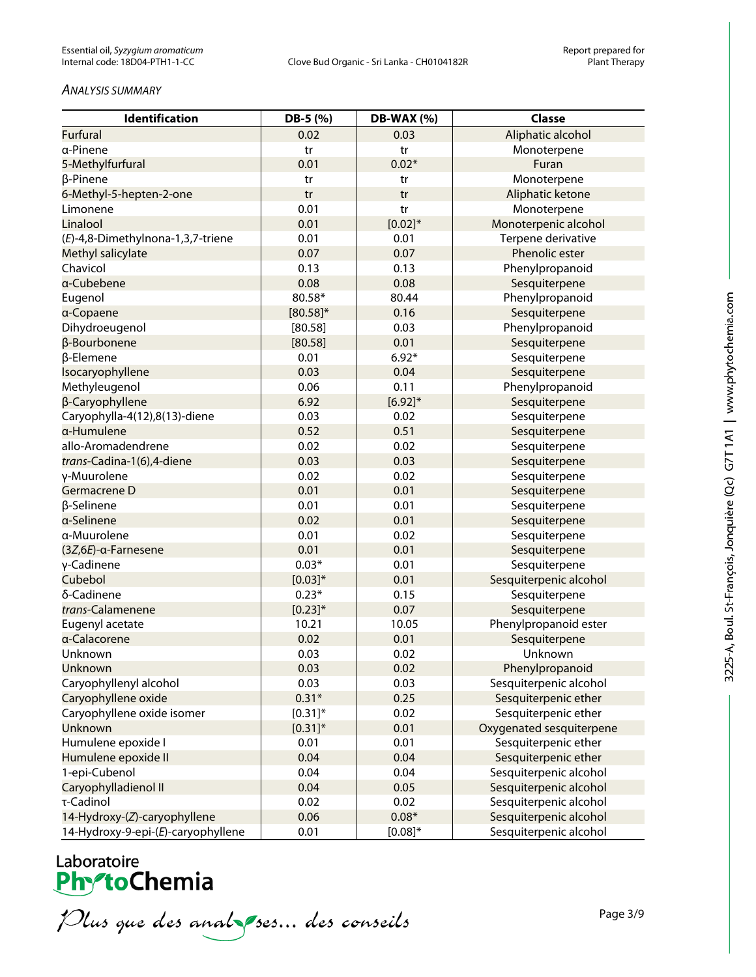#### *ANALYSIS SUMMARY*

| Identification                     | DB-5 (%)     | <b>DB-WAX (%)</b> | <b>Classe</b>            |
|------------------------------------|--------------|-------------------|--------------------------|
| <b>Furfural</b>                    | 0.02         | 0.03              | Aliphatic alcohol        |
| a-Pinene                           | tr           | tr                | Monoterpene              |
| 5-Methylfurfural                   | 0.01         | $0.02*$           | Furan                    |
| β-Pinene                           | tr           | tr                | Monoterpene              |
| 6-Methyl-5-hepten-2-one            | tr           | tr                | Aliphatic ketone         |
| Limonene                           | 0.01         | tr                | Monoterpene              |
| Linalool                           | 0.01         | $[0.02]*$         | Monoterpenic alcohol     |
| (E)-4,8-Dimethylnona-1,3,7-triene  | 0.01         | 0.01              | Terpene derivative       |
| Methyl salicylate                  | 0.07         | 0.07              | Phenolic ester           |
| Chavicol                           | 0.13         | 0.13              | Phenylpropanoid          |
| a-Cubebene                         | 0.08         | 0.08              | Sesquiterpene            |
| Eugenol                            | 80.58*       | 80.44             | Phenylpropanoid          |
| a-Copaene                          | $[80.58]$ *  | 0.16              | Sesquiterpene            |
| Dihydroeugenol                     | [80.58]      | 0.03              | Phenylpropanoid          |
| β-Bourbonene                       | [80.58]      | 0.01              | Sesquiterpene            |
| β-Elemene                          | 0.01         | $6.92*$           | Sesquiterpene            |
| Isocaryophyllene                   | 0.03         | 0.04              | Sesquiterpene            |
| Methyleugenol                      | 0.06         | 0.11              | Phenylpropanoid          |
| β-Caryophyllene                    | 6.92         | $[6.92]^{*}$      | Sesquiterpene            |
| Caryophylla-4(12),8(13)-diene      | 0.03         | 0.02              | Sesquiterpene            |
| a-Humulene                         | 0.52         | 0.51              | Sesquiterpene            |
| allo-Aromadendrene                 | 0.02         | 0.02              | Sesquiterpene            |
| trans-Cadina-1(6),4-diene          | 0.03         | 0.03              | Sesquiterpene            |
| γ-Muurolene                        | 0.02         | 0.02              | Sesquiterpene            |
| Germacrene D                       | 0.01         | 0.01              | Sesquiterpene            |
| β-Selinene                         | 0.01         | 0.01              | Sesquiterpene            |
| a-Selinene                         | 0.02         | 0.01              | Sesquiterpene            |
| a-Muurolene                        | 0.01         | 0.02              | Sesquiterpene            |
| (3Z,6E)-α-Farnesene                | 0.01         | 0.01              | Sesquiterpene            |
| γ-Cadinene                         | $0.03*$      | 0.01              | Sesquiterpene            |
| Cubebol                            | $[0.03]*$    | 0.01              | Sesquiterpenic alcohol   |
| δ-Cadinene                         | $0.23*$      | 0.15              | Sesquiterpene            |
| trans-Calamenene                   | $[0.23]^{*}$ | 0.07              | Sesquiterpene            |
| Eugenyl acetate                    | 10.21        | 10.05             | Phenylpropanoid ester    |
| a-Calacorene                       | 0.02         | 0.01              | Sesquiterpene            |
| Unknown                            | 0.03         | 0.02              | Unknown                  |
| Unknown                            | 0.03         | 0.02              | Phenylpropanoid          |
| Caryophyllenyl alcohol             | 0.03         | 0.03              | Sesquiterpenic alcohol   |
| Caryophyllene oxide                | $0.31*$      | 0.25              | Sesquiterpenic ether     |
| Caryophyllene oxide isomer         | $[0.31]$ *   | 0.02              | Sesquiterpenic ether     |
| Unknown                            | $[0.31]$ *   | 0.01              | Oxygenated sesquiterpene |
| Humulene epoxide I                 | 0.01         | 0.01              | Sesquiterpenic ether     |
| Humulene epoxide II                | 0.04         | 0.04              | Sesquiterpenic ether     |
| 1-epi-Cubenol                      | 0.04         | 0.04              | Sesquiterpenic alcohol   |
| Caryophylladienol II               | 0.04         | 0.05              | Sesquiterpenic alcohol   |
| τ-Cadinol                          | 0.02         | 0.02              | Sesquiterpenic alcohol   |
| 14-Hydroxy-(Z)-caryophyllene       | 0.06         | $0.08*$           | Sesquiterpenic alcohol   |
| 14-Hydroxy-9-epi-(E)-caryophyllene | 0.01         | $[0.08]^{*}$      | Sesquiterpenic alcohol   |

# Laboratoire<br>**Phy<sup>s</sup>toChemia**

Plus que des analsessus des conseils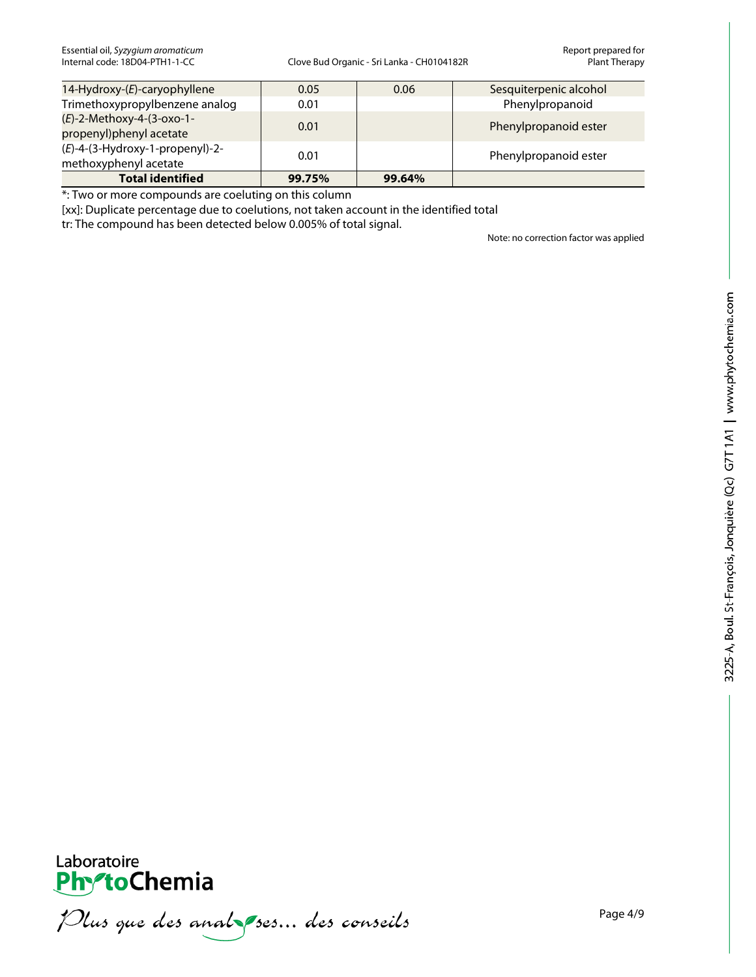| 14-Hydroxy-(E)-caryophyllene                                | 0.05   | 0.06   | Sesquiterpenic alcohol |
|-------------------------------------------------------------|--------|--------|------------------------|
| Trimethoxypropylbenzene analog                              | 0.01   |        | Phenylpropanoid        |
| $(E)$ -2-Methoxy-4-(3-oxo-1-<br>propenyl)phenyl acetate     | 0.01   |        | Phenylpropanoid ester  |
| $(E)$ -4-(3-Hydroxy-1-propenyl)-2-<br>methoxyphenyl acetate | 0.01   |        | Phenylpropanoid ester  |
| <b>Total identified</b>                                     | 99.75% | 99.64% |                        |

\*: Two or more compounds are coeluting on this column

[xx]: Duplicate percentage due to coelutions, not taken account in the identified total

tr: The compound has been detected below 0.005% of total signal.

Note: no correction factor was applied



Plus que des analzes... des conseils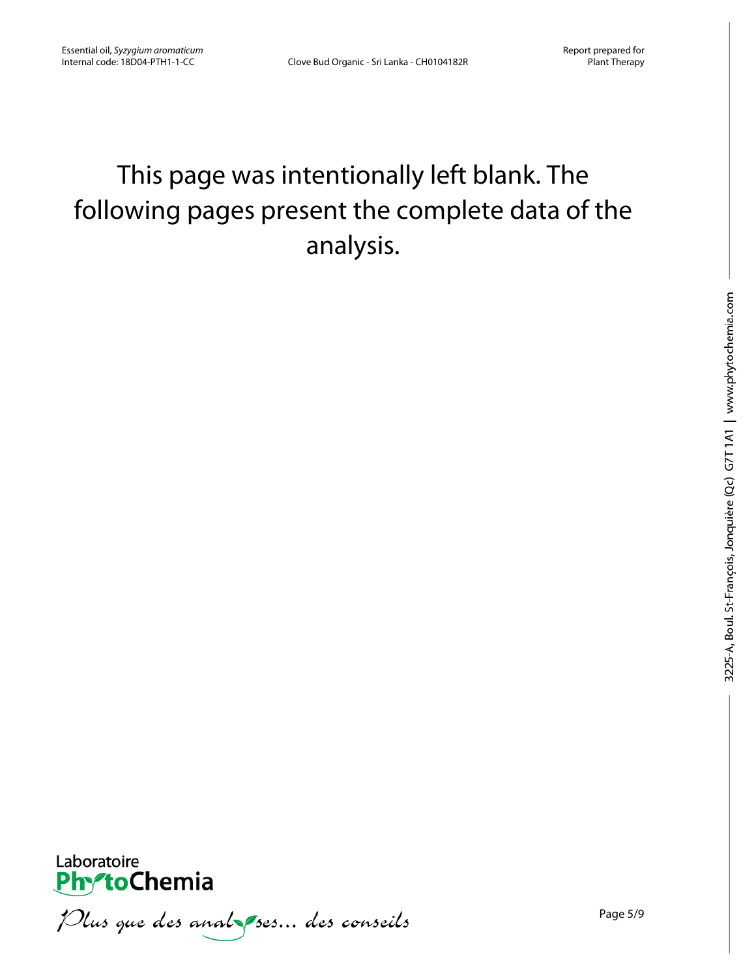# This page was intentionally left blank. The following pages present the complete data of the analysis.



Plus que des analzes... des conseils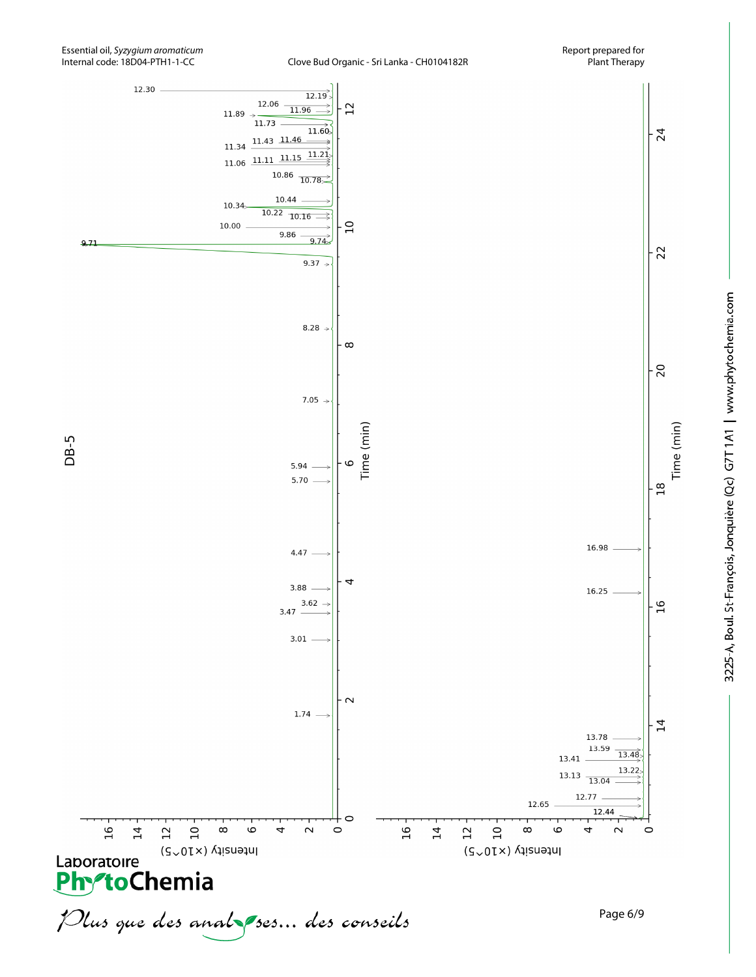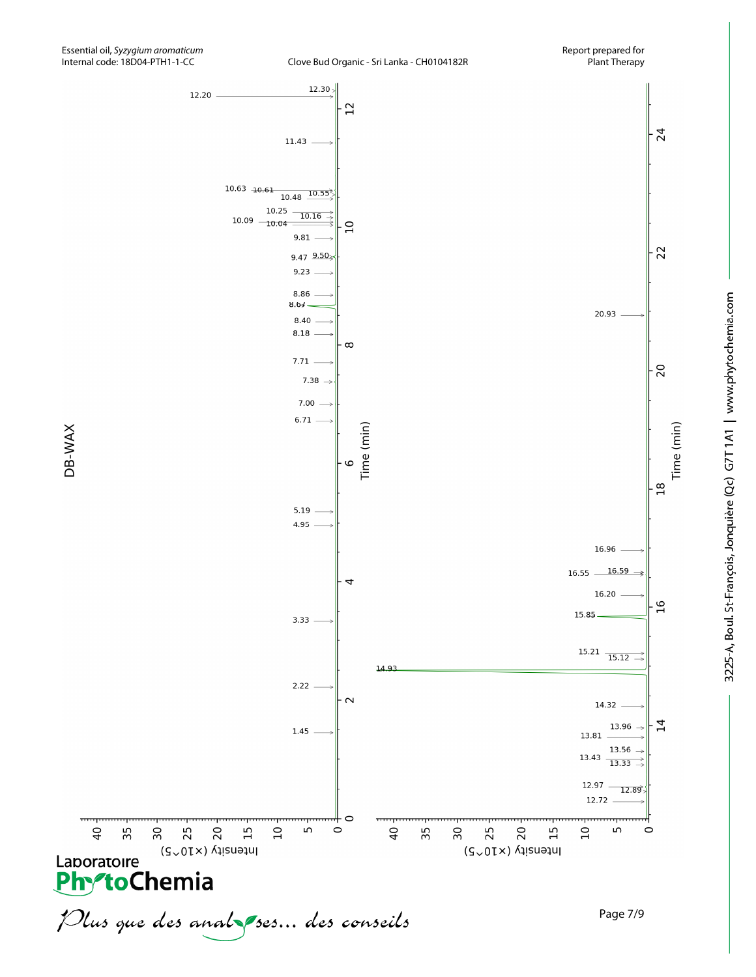

 $\overline{40}$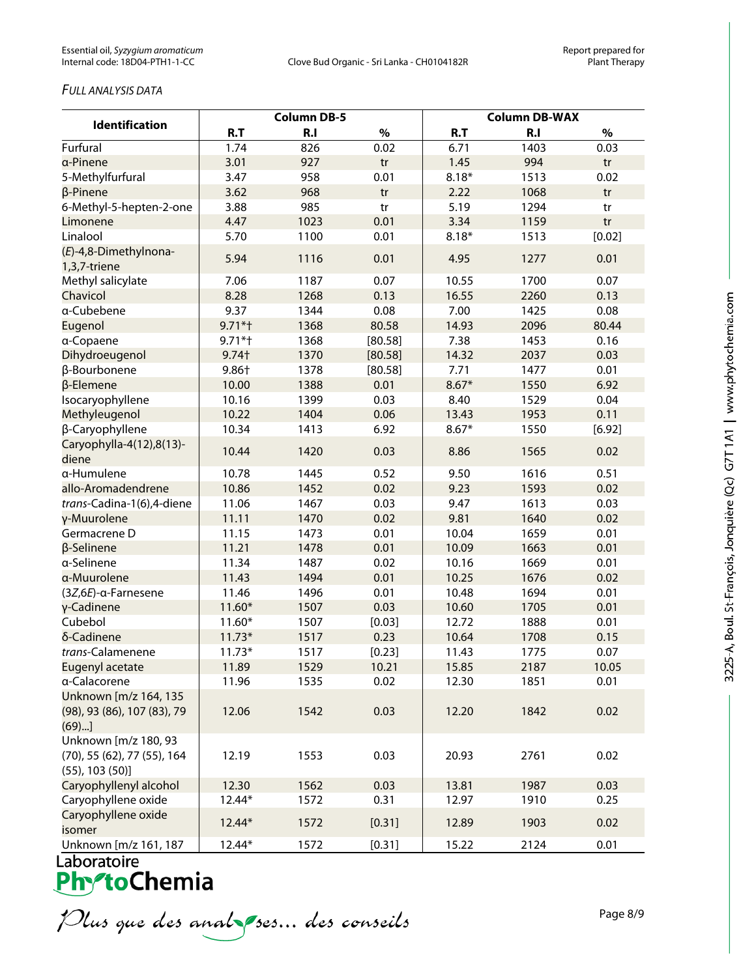### *FULL ANALYSIS DATA*

| <b>Identification</b>                                                        | <b>Column DB-5</b> |      |         | <b>Column DB-WAX</b> |      |        |  |
|------------------------------------------------------------------------------|--------------------|------|---------|----------------------|------|--------|--|
|                                                                              | R.T                | R.I  | $\%$    | R.T                  | R.I  | $\%$   |  |
| Furfural                                                                     | 1.74               | 826  | 0.02    | 6.71                 | 1403 | 0.03   |  |
| a-Pinene                                                                     | 3.01               | 927  | tr      | 1.45                 | 994  | tr     |  |
| 5-Methylfurfural                                                             | 3.47               | 958  | 0.01    | $8.18*$              | 1513 | 0.02   |  |
| β-Pinene                                                                     | 3.62               | 968  | tr      | 2.22                 | 1068 | tr     |  |
| 6-Methyl-5-hepten-2-one                                                      | 3.88               | 985  | tr      | 5.19                 | 1294 | tr     |  |
| Limonene                                                                     | 4.47               | 1023 | 0.01    | 3.34                 | 1159 | tr     |  |
| Linalool                                                                     | 5.70               | 1100 | 0.01    | $8.18*$              | 1513 | [0.02] |  |
| (E)-4,8-Dimethylnona-<br>1,3,7-triene                                        | 5.94               | 1116 | 0.01    | 4.95                 | 1277 | 0.01   |  |
| Methyl salicylate                                                            | 7.06               | 1187 | 0.07    | 10.55                | 1700 | 0.07   |  |
| Chavicol                                                                     | 8.28               | 1268 | 0.13    | 16.55                | 2260 | 0.13   |  |
| a-Cubebene                                                                   | 9.37               | 1344 | 0.08    | 7.00                 | 1425 | 0.08   |  |
| Eugenol                                                                      | $9.71*$            | 1368 | 80.58   | 14.93                | 2096 | 80.44  |  |
| a-Copaene                                                                    | $9.71*$            | 1368 | [80.58] | 7.38                 | 1453 | 0.16   |  |
| Dihydroeugenol                                                               | $9.74+$            | 1370 | [80.58] | 14.32                | 2037 | 0.03   |  |
| β-Bourbonene                                                                 | 9.86+              | 1378 | [80.58] | 7.71                 | 1477 | 0.01   |  |
| β-Elemene                                                                    | 10.00              | 1388 | 0.01    | $8.67*$              | 1550 | 6.92   |  |
| Isocaryophyllene                                                             | 10.16              | 1399 | 0.03    | 8.40                 | 1529 | 0.04   |  |
| Methyleugenol                                                                | 10.22              | 1404 | 0.06    | 13.43                | 1953 | 0.11   |  |
| β-Caryophyllene                                                              | 10.34              | 1413 | 6.92    | $8.67*$              | 1550 | [6.92] |  |
| Caryophylla-4(12),8(13)-<br>diene                                            | 10.44              | 1420 | 0.03    | 8.86                 | 1565 | 0.02   |  |
| a-Humulene                                                                   | 10.78              | 1445 | 0.52    | 9.50                 | 1616 | 0.51   |  |
| allo-Aromadendrene                                                           | 10.86              | 1452 | 0.02    | 9.23                 | 1593 | 0.02   |  |
| trans-Cadina-1(6),4-diene                                                    | 11.06              | 1467 | 0.03    | 9.47                 | 1613 | 0.03   |  |
| γ-Muurolene                                                                  | 11.11              | 1470 | 0.02    | 9.81                 | 1640 | 0.02   |  |
| Germacrene D                                                                 | 11.15              | 1473 | 0.01    | 10.04                | 1659 | 0.01   |  |
| β-Selinene                                                                   | 11.21              | 1478 | 0.01    | 10.09                | 1663 | 0.01   |  |
| a-Selinene                                                                   | 11.34              | 1487 | 0.02    | 10.16                | 1669 | 0.01   |  |
| a-Muurolene                                                                  | 11.43              | 1494 | 0.01    | 10.25                | 1676 | 0.02   |  |
| (3Z,6E)-α-Farnesene                                                          | 11.46              | 1496 | 0.01    | 10.48                | 1694 | 0.01   |  |
| γ-Cadinene                                                                   | $11.60*$           | 1507 | 0.03    | 10.60                | 1705 | 0.01   |  |
| Cubebol                                                                      | $11.60*$           | 1507 | [0.03]  | 12.72                | 1888 | 0.01   |  |
| δ-Cadinene                                                                   | $11.73*$           | 1517 | 0.23    | 10.64                | 1708 | 0.15   |  |
| trans-Calamenene                                                             | $11.73*$           | 1517 | [0.23]  | 11.43                | 1775 | 0.07   |  |
| <b>Eugenyl acetate</b>                                                       | 11.89              | 1529 | 10.21   | 15.85                | 2187 | 10.05  |  |
| a-Calacorene                                                                 | 11.96              | 1535 | 0.02    | 12.30                | 1851 | 0.01   |  |
| Unknown [m/z 164, 135<br>(98), 93 (86), 107 (83), 79<br>(69)                 | 12.06              | 1542 | 0.03    | 12.20                | 1842 | 0.02   |  |
| Unknown [m/z 180, 93<br>(70), 55 (62), 77 (55), 164<br>$(55)$ , 103 $(50)$ ] | 12.19              | 1553 | 0.03    | 20.93                | 2761 | 0.02   |  |
| Caryophyllenyl alcohol                                                       | 12.30              | 1562 | 0.03    | 13.81                | 1987 | 0.03   |  |
| Caryophyllene oxide                                                          | 12.44*             | 1572 | 0.31    | 12.97                | 1910 | 0.25   |  |
| Caryophyllene oxide<br>isomer                                                | 12.44*             | 1572 | [0.31]  | 12.89                | 1903 | 0.02   |  |
| Unknown [m/z 161, 187                                                        | 12.44*             | 1572 | [0.31]  | 15.22                | 2124 | 0.01   |  |

Plus que des analzes... des conseils